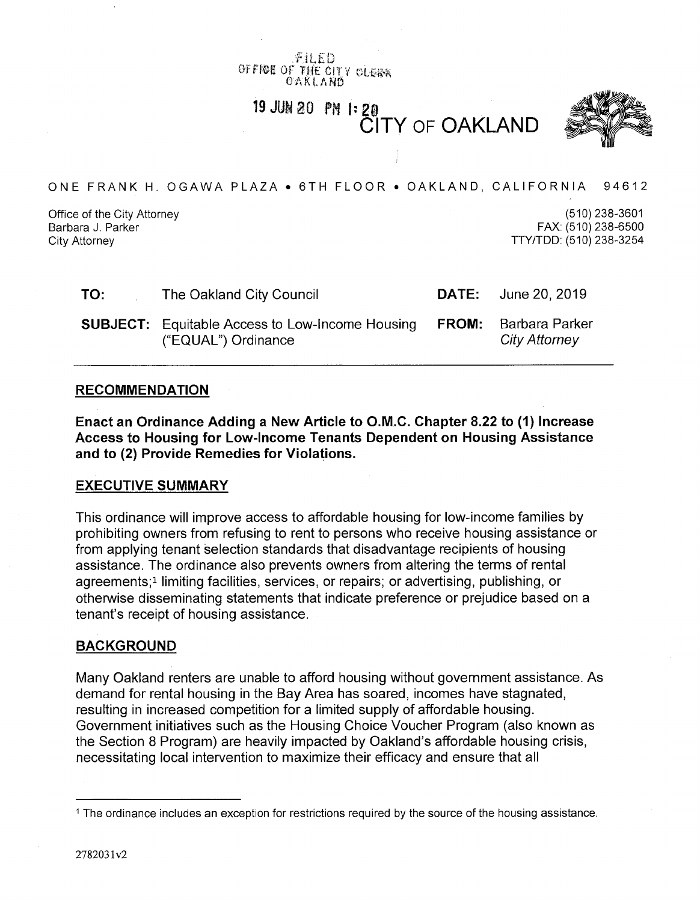*f*IL*t* <sup>0</sup> 0ff®g Of TW£\*0IT <sup>V</sup> *ei\$m* OAKLAND

*WM BQ* **PH |: <sup>21</sup>** CITY OF OAKLAND



ONE FRANK H. OGAWA PLAZA • 6TH FLOOR • OAKLAND, CALIFORNIA 94612

Office of the City Attorney Barbara J. Parker City Attorney

(510)238-3601 FAX: (510)238-6500 TTY/TDD: (510) 238-3254

| TO: | The Oakland City Council                                                      | <b>DATE:</b> June 20, 2019                          |
|-----|-------------------------------------------------------------------------------|-----------------------------------------------------|
|     | <b>SUBJECT:</b> Equitable Access to Low-Income Housing<br>("EQUAL") Ordinance | <b>FROM:</b> Barbara Parker<br><b>City Attorney</b> |

#### **RECOMMENDATION**

**Enact an Ordinance Adding a New Article to O.M.C. Chapter 8.22 to (1) Increase Access to Housing for Low-Income Tenants Dependent on Housing Assistance and to (2) Provide Remedies for Violations.**

#### **EXECUTIVE SUMMARY**

This ordinance will improve access to affordable housing for low-income families by prohibiting owners from refusing to rent to persons who receive housing assistance or from applying tenant selection standards that disadvantage recipients of housing assistance. The ordinance also prevents owners from altering the terms of rental agreements;1 limiting facilities, services, or repairs; or advertising, publishing, or otherwise disseminating statements that indicate preference or prejudice based on a tenant's receipt of housing assistance.

#### BACKGROUND

Many Oakland renters are unable to afford housing without government assistance. As demand for rental housing in the Bay Area has soared, incomes have stagnated, resulting in increased competition for a limited supply of affordable housing. Government initiatives such as the Housing Choice Voucher Program (also known as the Section 8 Program) are heavily impacted by Oakland's affordable housing crisis, necessitating local intervention to maximize their efficacy and ensure that all

**<sup>1</sup>** The ordinance includes an exception for restrictions required by the source of the housing assistance.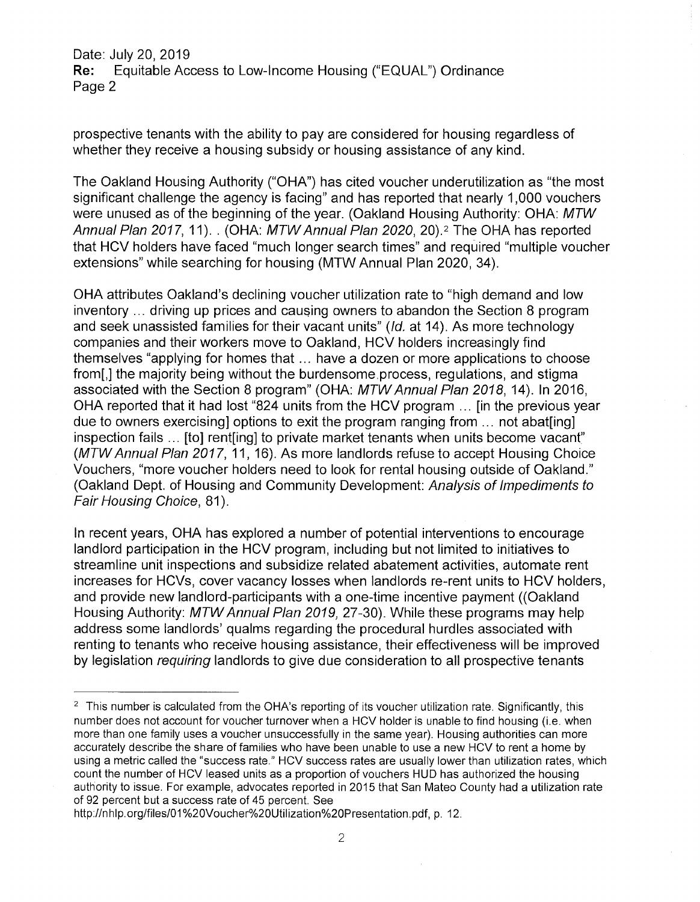Date: July 20, 2019<br>**Re:** Equitable Ac Equitable Access to Low-Income Housing ("EQUAL") Ordinance Page 2

prospective tenants with the ability to pay are considered for housing regardless of whether they receive a housing subsidy or housing assistance of any kind.

The Oakland Housing Authority ("OHA") has cited voucher underutilization as "the most significant challenge the agency is facing" and has reported that nearly 1,000 vouchers were unused as of the beginning of the year. (Oakland Housing Authority: OHA: *MTW Annual Plan 2017,* 11). . (OHA: *MTWAnnual Plan 2020,* 20).2 The OHA has reported that HCV holders have faced "much longer search times" and required "multiple voucher extensions" while searching for housing (MTW Annual Plan 2020, 34).

OHA attributes Oakland's declining voucher utilization rate to "high demand and low inventory ... driving up prices and causing owners to abandon the Section 8 program and seek unassisted families for their vacant units" *(Id.* at 14). As more technology companies and their workers move to Oakland, HCV holders increasingly find themselves "applying for homes that... have a dozen or more applications to choose from[,] the majority being without the burdensome process, regulations, and stigma associated with the Section 8 program" (OHA: *MTWAnnual Plan 2018,* 14). In 2016, OHA reported that it had lost "824 units from the HCV program ... [in the previous year due to owners exercising] options to exit the program ranging from ... not abat [ing] inspection fails ... [to] rent[ing] to private market tenants when units become vacant" *(MTWAnnual Plan 2017,* 11, 16). As more landlords refuse to accept Housing Choice Vouchers, "more voucher holders need to look for rental housing outside of Oakland." (Oakland Dept, of Housing and Community Development: *Analysis of Impediments to Fair Housing Choice,* 81).

In recent years, OHA has explored a number of potential interventions to encourage landlord participation in the HCV program, including but not limited to initiatives to streamline unit inspections and subsidize related abatement activities, automate rent increases for HCVs, cover vacancy losses when landlords re-rent units to HCV holders, and provide new landlord-participants with a one-time incentive payment ((Oakland Housing Authority: *MTWAnnual Plan 2019,* 27-30). While these programs may help address some landlords' qualms regarding the procedural hurdles associated with renting to tenants who receive housing assistance, their effectiveness will be improved by legislation *requiring* landlords to give due consideration to all prospective tenants

<sup>&</sup>lt;sup>2</sup> This number is calculated from the OHA's reporting of its voucher utilization rate. Significantly, this number does not account for voucher turnover when a HCV holder is unable to find housing (i.e. when more than one family uses a voucher unsuccessfully in the same year). Housing authorities can more accurately describe the share of families who have been unable to use a new HCV to rent a home by using a metric called the "success rate." HCV success rates are usually lower than utilization rates, which count the number of HCV leased units as a proportion of vouchers HUD has authorized the housing authority to issue. For example, advocates reported in 2015 that San Mateo County had a utilization rate of 92 percent but a success rate of 45 percent. See

[http://nhlp.org/files/01%20Voucher%20Utilization%20Presentation.pdf,](http://nhlp.org/files/01%20Voucher%20Utilization%20Presentation.pdf) p. 12.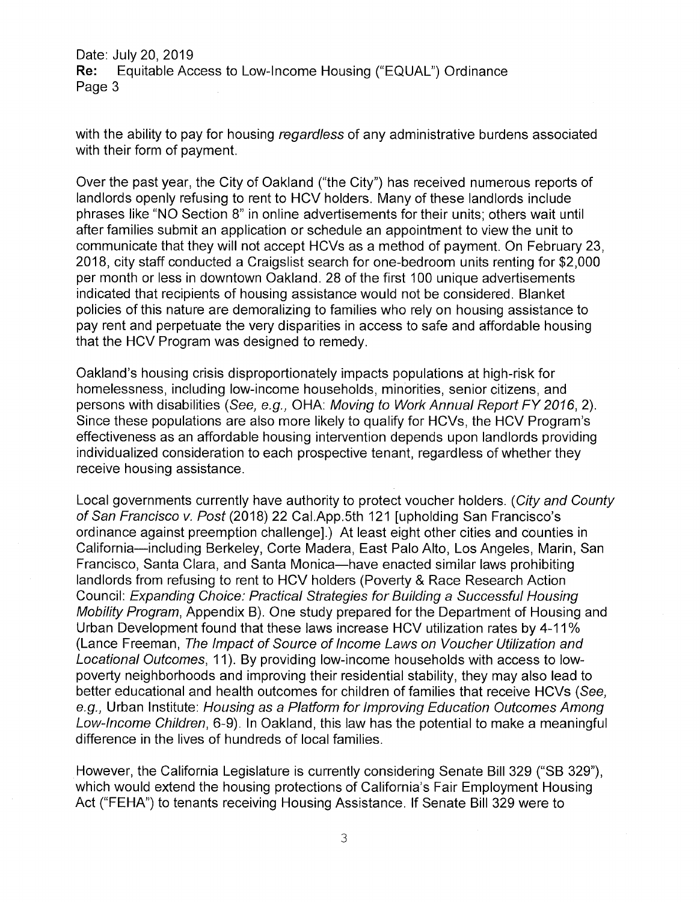Date: July 20, 2019<br>**Re:** Equitable Ace Equitable Access to Low-Income Housing ("EQUAL") Ordinance Page 3

with the ability to pay for housing *regardless* of any administrative burdens associated with their form of payment.

Over the past year, the City of Oakland ("the City") has received numerous reports of landlords openly refusing to rent to HCV holders. Many of these landlords include phrases like "NO Section 8" in online advertisements for their units; others wait until after families submit an application or schedule an appointment to view the unit to communicate that they will not accept HCVs as a method of payment. On February 23 2018, city staff conducted a Craigslist search for one-bedroom units renting for \$2,000 per month or less in downtown Oakland. 28 of the first 100 unique advertisements indicated that recipients of housing assistance would not be considered. Blanket policies of this nature are demoralizing to families who rely on housing assistance to pay rent and perpetuate the very disparities in access to safe and affordable housing that the HCV Program was designed to remedy.

Oakland's housing crisis disproportionately impacts populations at high-risk for homelessness, including low-income households, minorities, senior citizens, and persons with disabilities *(See, e.g.,* OHA: *Moving to Work Annual Report FY 2016,* 2). Since these populations are also more likely to qualify for HCVs, the HCV Program's effectiveness as an affordable housing intervention depends upon landlords providing individualized consideration to each prospective tenant, regardless of whether they receive housing assistance.

Local governments currently have authority to protect voucher holders. (*City and County of San Francisco v. Post* (2018) 22 Cal.App.5th 121 [upholding San Francisco's ordinance against preemption challenge].) At least eight other cities and counties in California—including Berkeley, Corte Madera, East Palo Alto, Los Angeles, Marin, San Francisco, Santa Clara, and Santa Monica—have enacted similar laws prohibiting landlords from refusing to rent to HCV holders (Poverty & Race Research Action Council: *Expanding Choice: Practical Strategies for Building a Successful Housing Mobility Program,* Appendix B). One study prepared for the Department of Housing and Urban Development found that these laws increase HCV utilization rates by 4-11% (Lance Freeman, *The Impact of Source of Income Laws on Voucher Utilization and Locational Outcomes,* 11). By providing low-income households with access to lowpoverty neighborhoods and improving their residential stability, they may also lead to better educational and health outcomes for children of families that receive HCVs *(See, e.g.,* Urban Institute: *Housing as a Platform for Improving Education Outcomes Among Low-Income Children,* 6-9). In Oakland, this law has the potential to make a meaningful difference in the lives of hundreds of local families.

However, the California Legislature is currently considering Senate Bill 329 ("SB 329"), which would extend the housing protections of California's Fair Employment Housing Act ("FEHA") to tenants receiving Housing Assistance. If Senate Bill 329 were to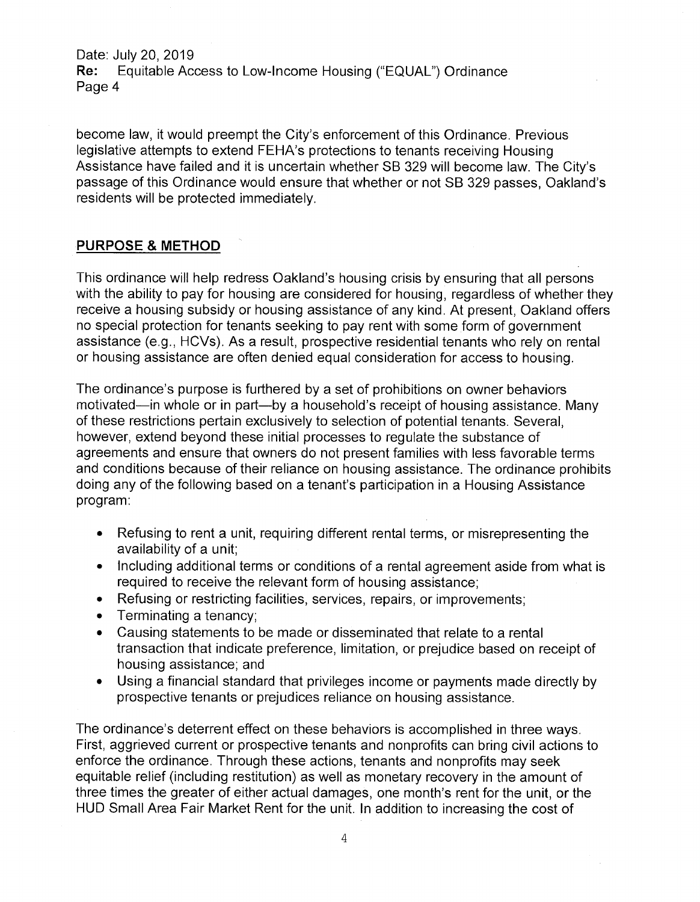Date: July 20, 2019<br>**Re:** Equitable Act Equitable Access to Low-Income Housing ("EQUAL") Ordinance Page 4

become law, it would preempt the City's enforcement of this Ordinance. Previous legislative attempts to extend FEHA's protections to tenants receiving Housing Assistance have failed and it is uncertain whether SB 329 will become law. The City's passage of this Ordinance would ensure that whether or not SB 329 passes, Oakland's residents will be protected immediately.

### **PURPOSE & METHOD**

This ordinance will help redress Oakland's housing crisis by ensuring that all persons with the ability to pay for housing are considered for housing, regardless of whether they receive a housing subsidy or housing assistance of any kind. At present, Oakland offers no special protection for tenants seeking to pay rent with some form of government assistance (e.g., HCVs). As a result, prospective residential tenants who rely on rental or housing assistance are often denied equal consideration for access to housing.

The ordinance's purpose is furthered by a set of prohibitions on owner behaviors motivated—in whole or in part—by a household's receipt of housing assistance. Many of these restrictions pertain exclusively to selection of potential tenants. Several, however, extend beyond these initial processes to regulate the substance of agreements and ensure that owners do not present families with less favorable terms and conditions because of their reliance on housing assistance. The ordinance prohibits doing any of the following based on a tenant's participation in a Housing Assistance program:

- Refusing to rent a unit, requiring different rental terms, or misrepresenting the availability of a unit;
- Including additional terms or conditions of a rental agreement aside from what is required to receive the relevant form of housing assistance;
- Refusing or restricting facilities, services, repairs, or improvements;  $\bullet$
- Terminating a tenancy;  $\bullet$
- Causing statements to be made or disseminated that relate to a rental transaction that indicate preference, limitation, or prejudice based on receipt of housing assistance; and
- Using a financial standard that privileges income or payments made directly by  $\bullet$ prospective tenants or prejudices reliance on housing assistance.

The ordinance's deterrent effect on these behaviors is accomplished in three ways. First, aggrieved current or prospective tenants and nonprofits can bring civil actions to enforce the ordinance. Through these actions, tenants and nonprofits may seek equitable relief (including restitution) as well as monetary recovery in the amount of three times the greater of either actual damages, one month's rent for the unit, or the HUD Small Area Fair Market Rent for the unit. In addition to increasing the cost of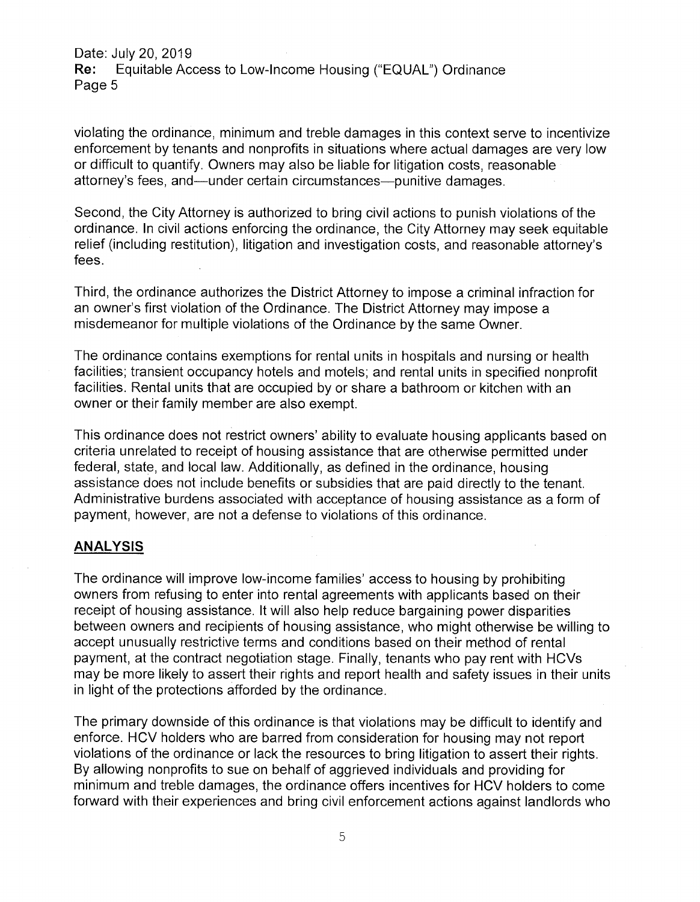Date: July 20, 2019<br>**Re:** Equitable Act Equitable Access to Low-Income Housing ("EQUAL") Ordinance Page 5

violating the ordinance, minimum and treble damages in this context serve to incentivize enforcement by tenants and nonprofits in situations where actual damages are very low or difficult to quantify. Owners may also be liable for litigation costs, reasonable attorney's fees, and—under certain circumstances—punitive damages.

Second, the City Attorney is authorized to bring civil actions to punish violations of the ordinance. In civil actions enforcing the ordinance, the City Attorney may seek equitable relief (including restitution), litigation and investigation costs, and reasonable attorney's fees.

Third, the ordinance authorizes the District Attorney to impose a criminal infraction for an owner's first violation of the Ordinance. The District Attorney may impose a misdemeanor for multiple violations of the Ordinance by the same Owner.

The ordinance contains exemptions for rental units in hospitals and nursing or health facilities; transient occupancy hotels and motels; and rental units in specified nonprofit facilities. Rental units that are occupied by or share a bathroom or kitchen with an owner or their family member are also exempt.

This ordinance does not restrict owners' ability to evaluate housing applicants based on criteria unrelated to receipt of housing assistance that are otherwise permitted under federal, state, and local law. Additionally, as defined in the ordinance, housing assistance does not include benefits or subsidies that are paid directly to the tenant. Administrative burdens associated with acceptance of housing assistance as a form of payment, however, are not a defense to violations of this ordinance.

## **ANALYSIS**

The ordinance will improve low-income families' access to housing by prohibiting owners from refusing to enter into rental agreements with applicants based on their receipt of housing assistance. It will also help reduce bargaining power disparities between owners and recipients of housing assistance, who might otherwise be willing to accept unusually restrictive terms and conditions based on their method of rental payment, at the contract negotiation stage. Finally, tenants who pay rent with HCVs may be more likely to assert their rights and report health and safety issues in their units in light of the protections afforded by the ordinance.

The primary downside of this ordinance is that violations may be difficult to identify and enforce. HCV holders who are barred from consideration for housing may not report violations of the ordinance or lack the resources to bring litigation to assert their rights. By allowing nonprofits to sue on behalf of aggrieved individuals and providing for minimum and treble damages, the ordinance offers incentives for HCV holders to come forward with their experiences and bring civil enforcement actions against landlords who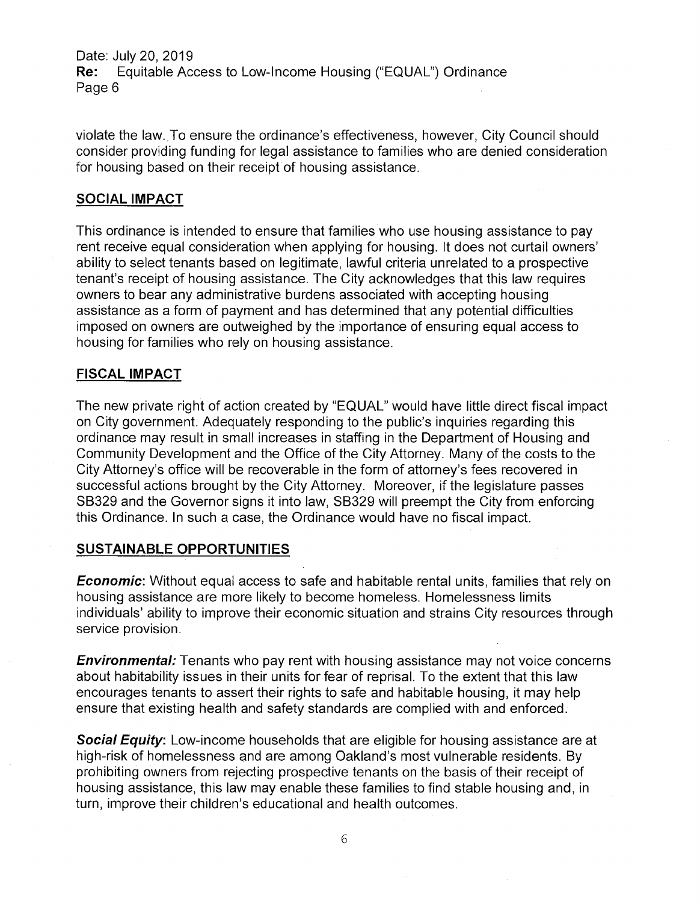Date: July 20, 2019<br>**Re:** Equitable Ace Equitable Access to Low-Income Housing ("EQUAL") Ordinance Page 6

violate the law..To ensure the ordinance's effectiveness, however, City Council should consider providing funding for legal assistance to families who are denied consideration for housing based on their receipt of housing assistance.

#### **SOCIAL IMPACT**

This ordinance is intended to ensure that families who use housing assistance to pay rent receive equal consideration when applying for housing. It does not curtail owners ability to select tenants based on legitimate, lawful criteria unrelated to a prospective tenant's receipt of housing assistance. The City acknowledges that this law requires owners to bear any administrative burdens associated with accepting housing assistance as a form of payment and has determined that any potential difficulties imposed on owners are outweighed by the importance of ensuring equal access to housing for families who rely on housing assistance.

#### **FISCAL IMPACT**

The new private right of action created by "EQUAL" would have little direct fiscal impact on City government. Adequately responding to the public's inquiries regarding this ordinance may result in small increases in staffing in the Department of Housing and Community Development and the Office of the City Attorney. Many of the costs to the City Attorney's office will be recoverable in the form of attorney's fees recovered in successful actions brought by the City Attorney. Moreover, if the legislature passes SB329 and the Governor signs it into law, SB329 will preempt the City from enforcing this Ordinance. In such a case, the Ordinance would have no fiscal impact.

#### **SUSTAINABLE OPPORTUNITIES**

*Economic:* Without equal access to safe and habitable rental units, families that rely on housing assistance are more likely to become homeless. Homelessness limits individuals' ability to improve their economic situation and strains City resources through service provision.

*Environmental:* Tenants who pay rent with housing assistance may not voice concerns about habitability issues in their units for fear of reprisal. To the extent that this law encourages tenants to assert their rights to safe and habitable housing, it may help ensure that existing health and safety standards are complied with and enforced.

*Social Equity:* Low-income households that are eligible for housing assistance are at high-risk of homelessness and are among Oakland's most vulnerable residents. By prohibiting owners from rejecting prospective tenants on the basis of their receipt of housing assistance, this law may enable these families to find stable housing and, in turn, improve their children's educational and health outcomes.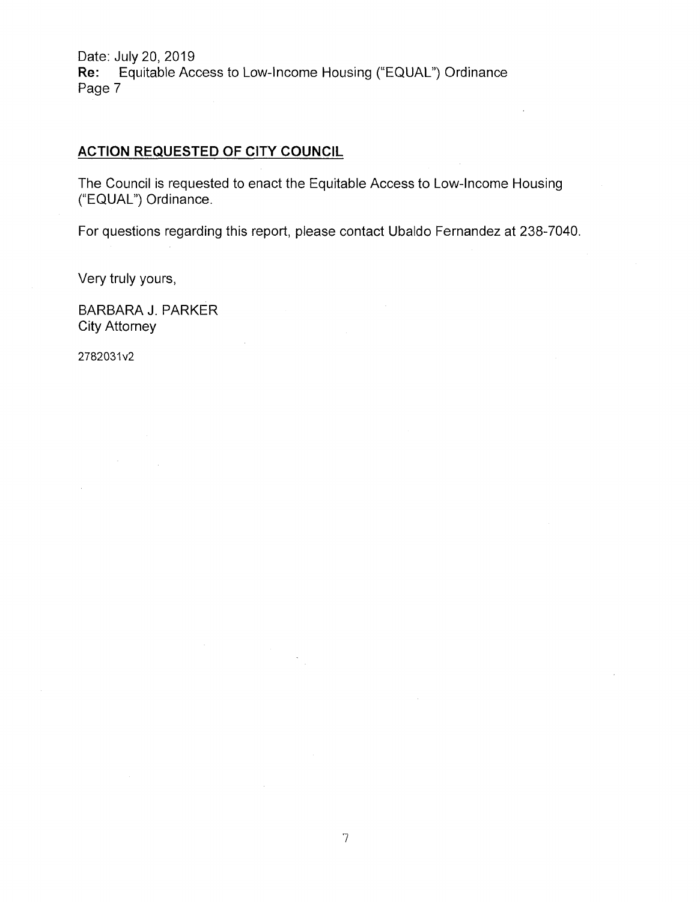Date: July 20, 2019 Re: Equitable Access to Low-Income Housing ("EQUAL") Ordinance Page 7

### **ACTION REQUESTED OF CITY COUNCIL**

The Council is requested to enact the Equitable Access to Low-Income Housing ("EQUAL") Ordinance.

For questions regarding this report, please contact Ubaldo Fernandez at 238-7040.

Very truly yours

BARBARA J. PARKER City Attorney

2782031v2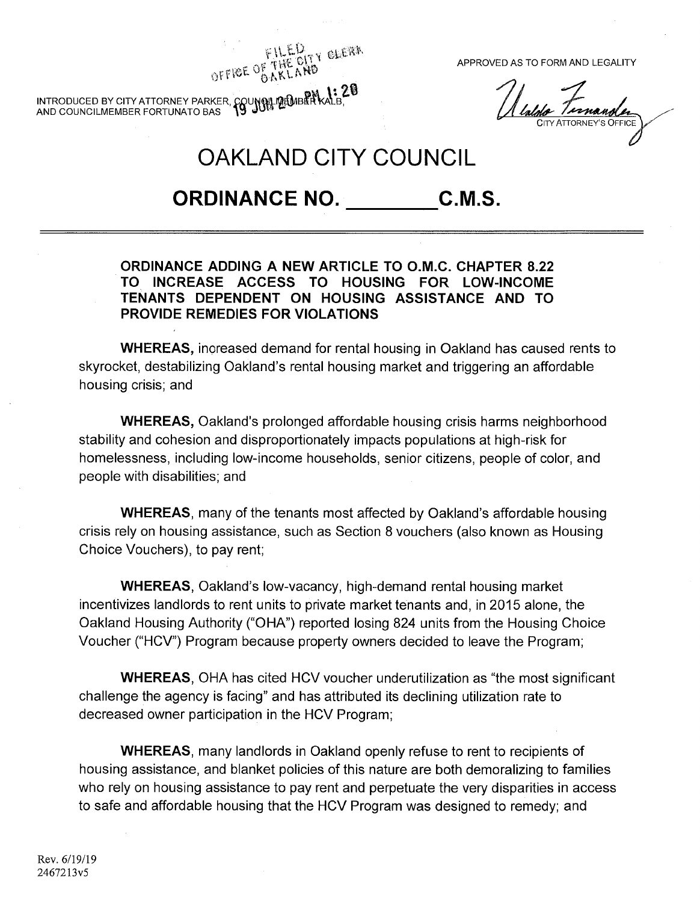FILLE OF THE OITY CLEAR.<br>OFFICE OF THE OITY CLEAR.

Valore Ternander

OAKLAND CITY COUNCIL

**b**<br>INTRODUCED BY CITY ATTORNEY PARKER, COUNNIL MEMBER KALB,

AND COUNCILMEMBER FORTUNATO BAS

ORDINANCE NO. C.M.S.

## **ORDINANCE ADDING A NEW ARTICLE TO O.M.C. CHAPTER 8.22 TO INCREASE ACCESS TO HOUSING FOR LOW-INCOME TENANTS DEPENDENT ON HOUSING ASSISTANCE AND TO PROVIDE REMEDIES FOR VIOLATIONS**

**WHEREAS,** increased demand for rental housing in Oakland has caused rents to skyrocket, destabilizing Oakland's rental housing market and triggering an affordable housing crisis; and

**WHEREAS,** Oakland's prolonged affordable housing crisis harms neighborhood stability and cohesion and disproportionately impacts populations at high-risk for homelessness, including low-income households, senior citizens, people of color, and people with disabilities; and

**WHEREAS,** many of the tenants most affected by Oakland's affordable housing crisis rely on housing assistance, such as Section 8 vouchers (also known as Housing Choice Vouchers), to pay rent;

**WHEREAS,** Oakland's low-vacancy, high-demand rental housing market incentivizes landlords to rent units to private market tenants and, in 2015 alone, the Oakland Housing Authority ("OHA") reported losing 824 units from the Housing Choice Voucher ("HCV") Program because property owners decided to leave the Program;

**WHEREAS,** OHA has cited HCV voucher underutilization as "the most significant challenge the agency is facing" and has attributed its declining utilization rate to decreased owner participation in the HCV Program;

**WHEREAS,** many landlords in Oakland openly refuse to rent to recipients of housing assistance, and blanket policies of this nature are both demoralizing to families who rely on housing assistance to pay rent and perpetuate the very disparities in access to safe and affordable housing that the HCV Program was designed to remedy; and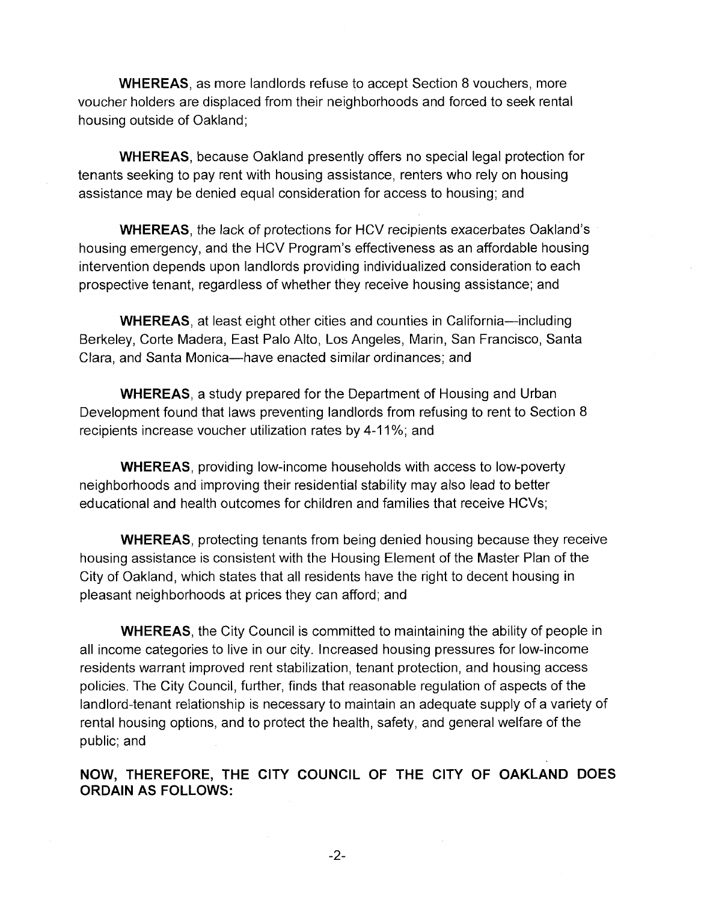WHEREAS, as more landlords refuse to accept Section 8 vouchers, more voucher holders are displaced from their neighborhoods and forced to seek rental housing outside of Oakland;

**WHEREAS,** because Oakland presently offers no special legal protection for tenants seeking to pay rent with housing assistance, renters who rely on housing assistance may be denied equal consideration for access to housing; and

**WHEREAS,** the lack of protections for HCV recipients exacerbates Oakland's housing emergency, and the HCV Program's effectiveness as an affordable housing intervention depends upon landlords providing individualized consideration to each prospective tenant, regardless of whether they receive housing assistance; and

**WHEREAS,** at least eight other cities and counties in California—including Berkeley, Corte Madera, East Palo Alto, Los Angeles, Marin, San Francisco, Santa Clara, and Santa Monica—have enacted similar ordinances; and

**WHEREAS,** a study prepared for the Department of Housing and Urban Development found that laws preventing landlords from refusing to rent to Section 8 recipients increase voucher utilization rates by 4-11%; and

**WHEREAS,** providing low-income households with access to low-poverty neighborhoods and improving their residential stability may also lead to better educational and health outcomes for children and families that receive HCVs;

**WHEREAS,** protecting tenants from being denied housing because they receive housing assistance is consistent with the Housing Element of the Master Plan of the City of Oakland, which states that all residents have the right to decent housing in pleasant neighborhoods at prices they can afford; and

**WHEREAS,** the City Council is committed to maintaining the ability of people in all income categories to live in our city. Increased housing pressures for low-income residents warrant improved rent stabilization, tenant protection, and housing access policies. The City Council, further, finds that reasonable regulation of aspects of the landlord-tenant relationship is necessary to maintain an adequate supply of a variety of rental housing options, and to protect the health, safety, and general welfare of the public; and

**NOW, THEREFORE, THE CITY COUNCIL OF THE CITY OF OAKLAND DOES ORDAIN AS FOLLOWS:**

**-2-**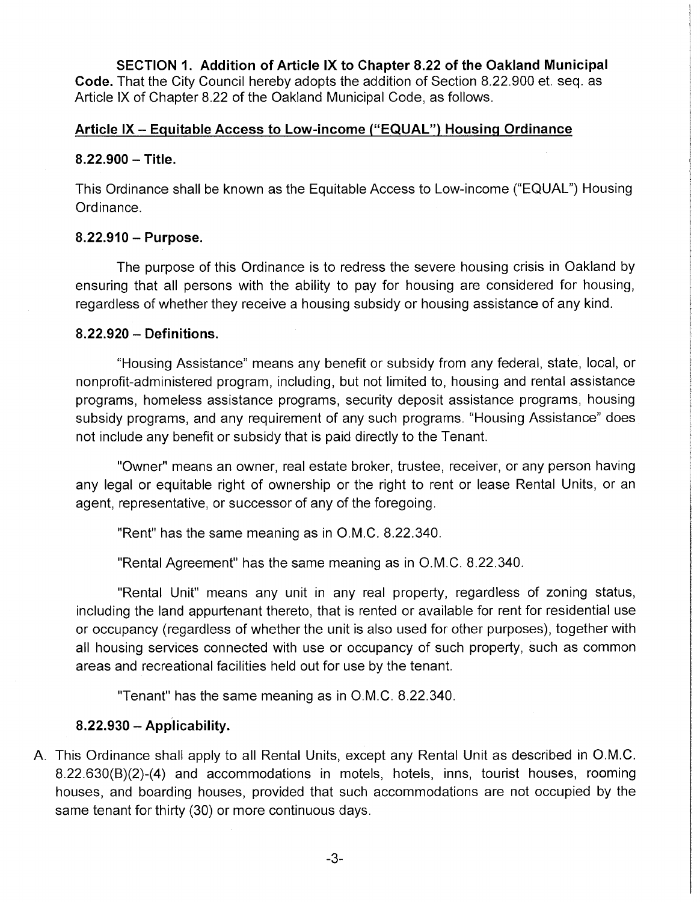**SECTION 1. Addition of Article IX to Chapter 8.22 of the Oakland Municipal Code.** That the City Council hereby adopts the addition of Section 8.22.900 et. seq. as Article IX of Chapter 8.22 of the Oakland Municipal Code, as follows.

## **Article IX- Equitable Access to Low-income ("EQUAL") Housing Ordinance**

## **8.22.900 - Title.**

This Ordinance shall be known as the Equitable Access to Low-income ("EQUAL") Housing Ordinance.

## **8.22.910 - Purpose.**

The purpose of this Ordinance is to redress the severe housing crisis in Oakland by ensuring that all persons with the ability to pay for housing are considered for housing, regardless of whether they receive a housing subsidy or housing assistance of any kind.

## **8.22.920 - Definitions.**

"Housing Assistance" means any benefit or subsidy from any federal, state, local, or nonprofit-administered program, including, but not limited to, housing and rental assistance programs, homeless assistance programs, security deposit assistance programs, housing subsidy programs, and any requirement of any such programs. "Housing Assistance" does not include any benefit or subsidy that is paid directly to the Tenant.

"Owner" means an owner, real estate broker, trustee, receiver, or any person having any legal or equitable right of ownership or the right to rent or lease Rental Units, or an agent, representative, or successor of any of the foregoing.

"Rent" has the same meaning as in O.M.C. 8.22.340.

"Rental Agreement" has the same meaning as in O.M.C. 8.22.340.

"Rental Unit" means any unit in any real property, regardless of zoning status, including the land appurtenant thereto, that is rented or available for rent for residential use or occupancy (regardless of whether the unit is also used for other purposes), together with all housing services connected with use or occupancy of such property, such as common areas and recreational facilities held out for use by the tenant.

"Tenant" has the same meaning as in O.M.C. 8.22.340.

# **8.22.930-Applicability.**

A. This Ordinance shall apply to all Rental Units, except any Rental Unit as described in O.M.C. 8.22.630(B)(2)-(4) and accommodations in motels, hotels, inns, tourist houses, rooming houses, and boarding houses, provided that such accommodations are not occupied by the same tenant for thirty (30) or more continuous days.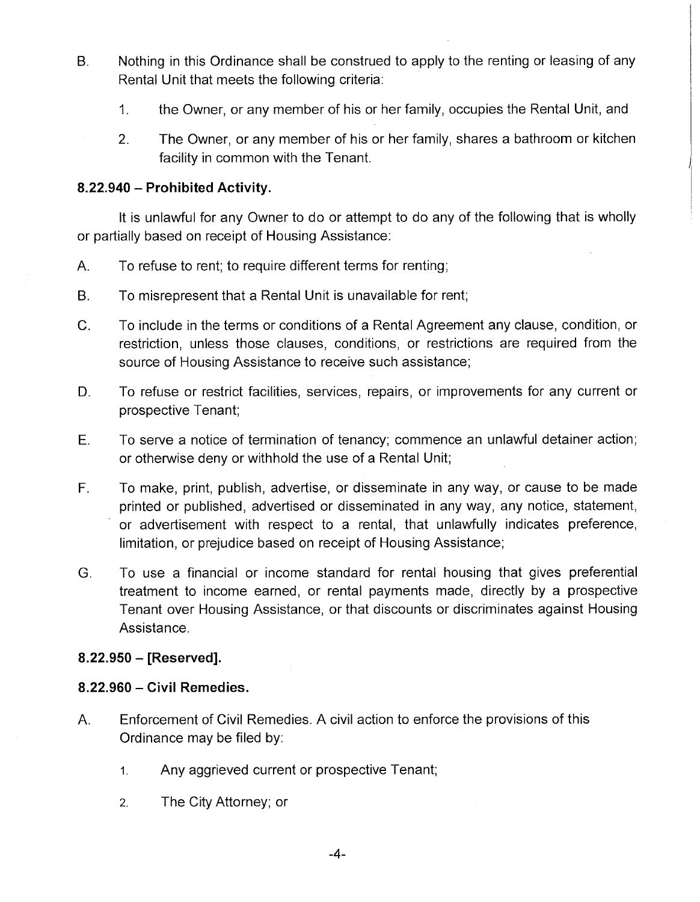- Nothing in this Ordinance shall be construed to apply to the renting or leasing of any Rental Unit that meets the following criteria: B.
	- the Owner, or any member of his or her family, occupies the Rental Unit, and 1.
	- The Owner, or any member of his or her family, shares a bathroom or kitchen facility in common with the Tenant. 2.

# **8.22.940 - Prohibited Activity.**

It is unlawful for any Owner to do or attempt to do any of the following that is wholly or partially based on receipt of Housing Assistance:

- A. To refuse to rent; to require different terms for renting;
- To misrepresent that a Rental Unit is unavailable for rent; B.
- To include in the terms or conditions of a Rental Agreement any clause, condition, or restriction, unless those clauses, conditions, or restrictions are required from the source of Housing Assistance to receive such assistance; C.
- To refuse or restrict facilities, services, repairs, or improvements for any current or prospective Tenant; D.
- To serve a notice of termination of tenancy; commence an unlawful detainer action; or otherwise deny or withhold the use of a Rental Unit; E.
- To make, print, publish, advertise, or disseminate in any way, or cause to be made printed or published, advertised or disseminated in any way, any notice, statement, or advertisement with respect to a rental, that unlawfully indicates preference, limitation, or prejudice based on receipt of Housing Assistance; F.
- To use a financial or income standard for rental housing that gives preferential treatment to income earned, or rental payments made, directly by a prospective Tenant over Housing Assistance, or that discounts or discriminates against Housing Assistance. G.

# **8.22.950 - [Reserved].**

# **8.22.960 - Civil Remedies.**

- Enforcement of Civil Remedies. A civil action to enforce the provisions of this Ordinance may be filed by: A.
	- **1.** Any aggrieved current or prospective Tenant;
	- **2.** The City Attorney; or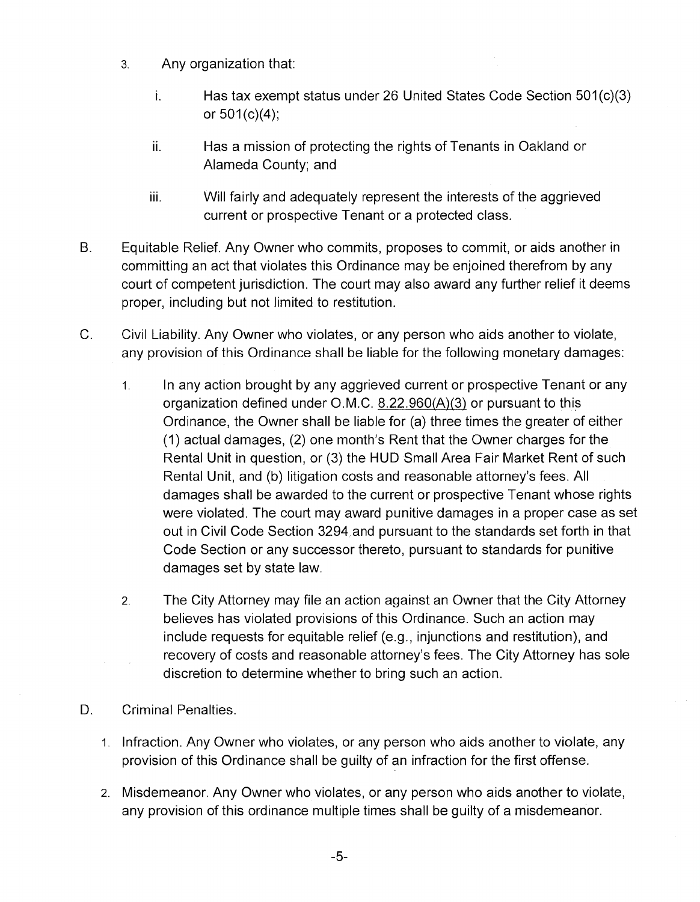- **3.** Any organization that:
	- j. Has tax exempt status under 26 United States Code Section 501(c)(3) or 501(c)(4);
	- Has a mission of protecting the rights of Tenants in Oakland or Alameda County; and ii.
	- iii. Will fairly and adequately represent the interests of the aggrieved current or prospective Tenant or a protected class.
- Equitable Relief. Any Owner who commits, proposes to commit, or aids another in committing an act that violates this Ordinance may be enjoined therefrom by any court of competent jurisdiction. The court may also award any further relief it deems proper, including but not limited to restitution. B.
- Civil Liability. Any Owner who violates, or any person who aids another to violate, any provision of this Ordinance shall be liable for the following monetary damages: C.
	- In any action brought by any aggrieved current or prospective Tenant or any organization defined under O.M.C. 8.22.960(A)(3) or pursuant to this Ordinance, the Owner shall be liable for (a) three times the greater of either (1) actual damages, (2) one month's Rent that the Owner charges for the Rental Unit in question, or (3) the HUD Small Area Fair Market Rent of such Rental Unit, and (b) litigation costs and reasonable attorney's fees. All damages shall be awarded to the current or prospective Tenant whose rights were violated. The court may award punitive damages in a proper case as set out in Civil Code Section 3294,and pursuant to the standards set forth in that Code Section or any successor thereto, pursuant to standards for punitive damages set by state law. **1.**
	- The City Attorney may file an action against an Owner that the City Attorney believes has violated provisions of this Ordinance. Such an action may include requests for equitable relief (e.g., injunctions and restitution), and recovery of costs and reasonable attorney's fees. The City Attorney has sole discretion to determine whether to bring such an action. **2.**
- D. Criminal Penalties.
	- 1. Infraction. Any Owner who violates, or any person who aids another to violate, any provision of this Ordinance shall be guilty of an infraction for the first offense.
	- 2. Misdemeanor. Any Owner who violates, or any person who aids another to violate any provision of this ordinance multiple times shall be guilty of a misdemeanor.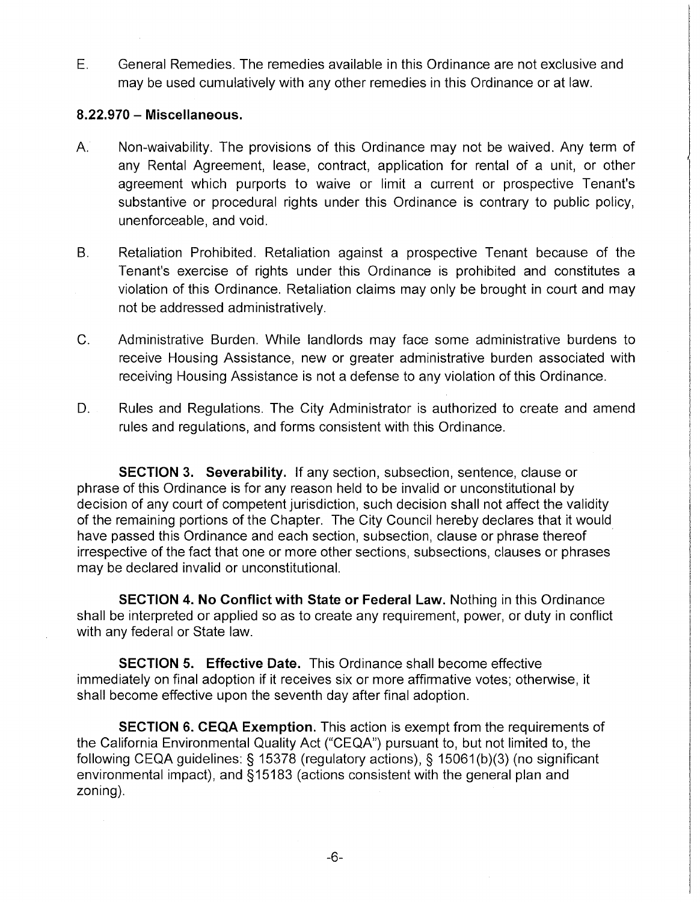General Remedies. The remedies available in this Ordinance are not exclusive and may be used cumulatively with any other remedies in this Ordinance or at law. E.

### **8.22.970** - **Miscellaneous.**

- Non-waivability. The provisions of this Ordinance may not be waived. Any term of any Rental Agreement, lease, contract, application for rental of a unit, or other agreement which purports to waive or limit a current or prospective Tenant's substantive or procedural rights under this Ordinance is contrary to public policy, unenforceable, and void. A.
- Retaliation Prohibited. Retaliation against a prospective Tenant because of the Tenant's exercise of rights under this Ordinance is prohibited and constitutes a violation of this Ordinance. Retaliation claims may only be brought in court and may not be addressed administratively. B.
- C. Administrative Burden. While landlords may face some administrative burdens to receive Housing Assistance, new or greater administrative burden associated with receiving Housing Assistance is not a defense to any violation of this Ordinance.
- Rules and Regulations. The City Administrator is authorized to create and amend rules and regulations, and forms consistent with this Ordinance. D.

**SECTION 3. Severability.** If any section, subsection, sentence, clause or phrase of this Ordinance is for any reason held to be invalid or unconstitutional by decision of any court of competent jurisdiction, such decision shall not affect the validity of the remaining portions of the Chapter. The City Council hereby declares that it would have passed this Ordinance and each section, subsection, clause or phrase thereof irrespective of the fact that one or more other sections, subsections, clauses or phrases may be declared invalid or unconstitutional.

**SECTION 4. No Conflict with State or Federal Law.** Nothing in this Ordinance shall be interpreted or applied so as to create any requirement, power, or duty in conflict with any federal or State law.

**SECTION 5. Effective Date.** This Ordinance shall become effective immediately on final adoption if it receives six or more affirmative votes; otherwise, it shall become effective upon the seventh day after final adoption.

**SECTION 6. CEQA Exemption.** This action is exempt from the requirements of the California Environmental Quality Act ("CEQA") pursuant to, but not limited to, the following CEQA guidelines: § 15378 (regulatory actions), § 15061(b)(3) (no significant environmental impact), and §15183 (actions consistent with the general plan and zoning).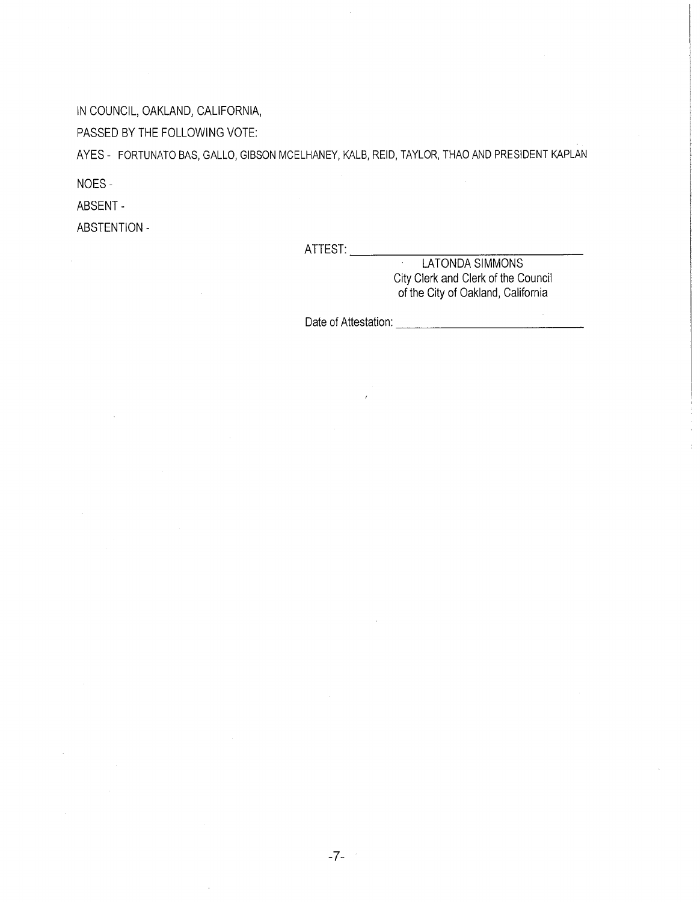IN COUNCIL, OAKLAND, CALIFORNIA,

PASSED BY THE FOLLOWING VOTE:

AYES - FORTUNATO BAS, GALLO, GIBSON MCELHANEY, KALB, REID, TAYLOR, THAO AND PRESIDENT KAPLAN

NOES-

ABSENT -

ABSTENTION -

ATTEST:

LATONDA SIMMONS City Clerk and Clerk of the Council of the City of Oakland, California

 $\sim$ 

Date of Attestation: